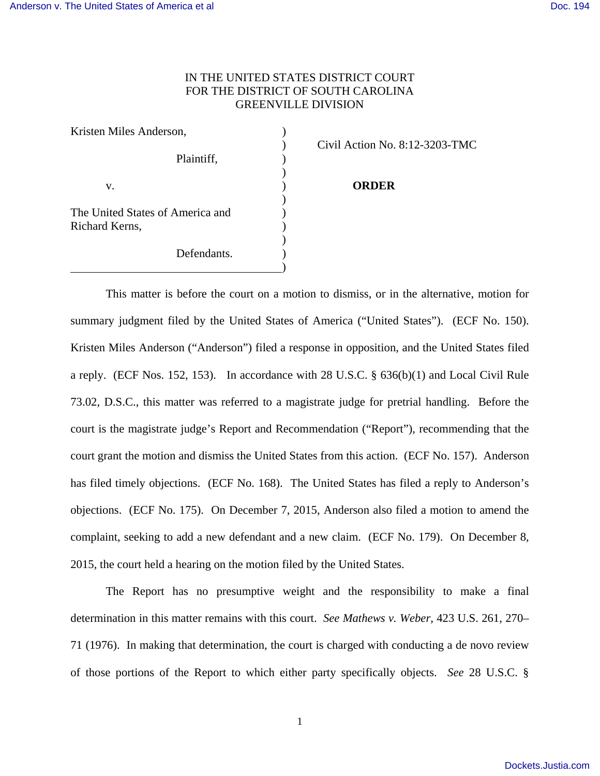# IN THE UNITED STATES DISTRICT COURT FOR THE DISTRICT OF SOUTH CAROLINA GREENVILLE DIVISION

| Kristen Miles Anderson,                            |  |
|----------------------------------------------------|--|
| Plaintiff,                                         |  |
| V.                                                 |  |
| The United States of America and<br>Richard Kerns, |  |
| Defendants.                                        |  |

) Civil Action No. 8:12-3203-TMC

#### **ORDER**

 This matter is before the court on a motion to dismiss, or in the alternative, motion for summary judgment filed by the United States of America ("United States"). (ECF No. 150). Kristen Miles Anderson ("Anderson") filed a response in opposition, and the United States filed a reply. (ECF Nos. 152, 153). In accordance with 28 U.S.C. § 636(b)(1) and Local Civil Rule 73.02, D.S.C., this matter was referred to a magistrate judge for pretrial handling. Before the court is the magistrate judge's Report and Recommendation ("Report"), recommending that the court grant the motion and dismiss the United States from this action. (ECF No. 157). Anderson has filed timely objections. (ECF No. 168). The United States has filed a reply to Anderson's objections. (ECF No. 175). On December 7, 2015, Anderson also filed a motion to amend the complaint, seeking to add a new defendant and a new claim. (ECF No. 179). On December 8, 2015, the court held a hearing on the motion filed by the United States.

 The Report has no presumptive weight and the responsibility to make a final determination in this matter remains with this court. *See Mathews v. Weber*, 423 U.S. 261, 270– 71 (1976). In making that determination, the court is charged with conducting a de novo review of those portions of the Report to which either party specifically objects. *See* 28 U.S.C. §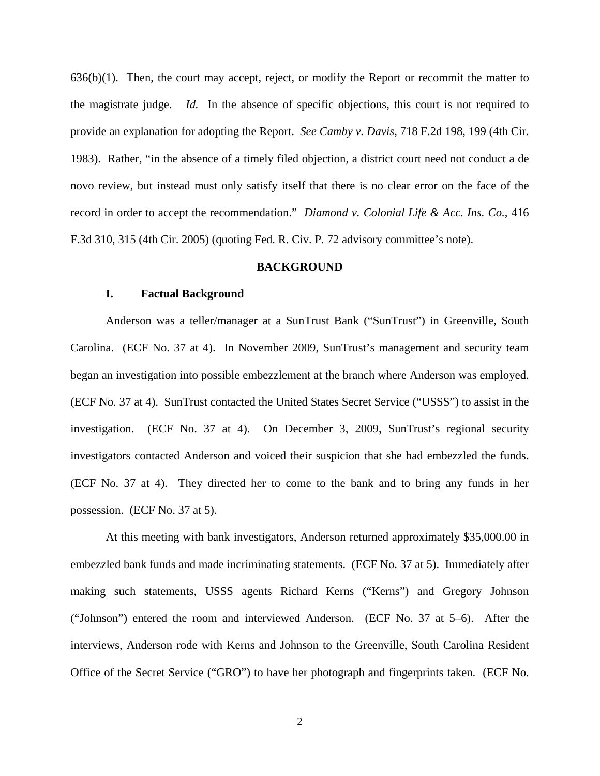$636(b)(1)$ . Then, the court may accept, reject, or modify the Report or recommit the matter to the magistrate judge. *Id.* In the absence of specific objections, this court is not required to provide an explanation for adopting the Report. *See Camby v. Davis*, 718 F.2d 198, 199 (4th Cir. 1983). Rather, "in the absence of a timely filed objection, a district court need not conduct a de novo review, but instead must only satisfy itself that there is no clear error on the face of the record in order to accept the recommendation." *Diamond v. Colonial Life & Acc. Ins. Co.*, 416 F.3d 310, 315 (4th Cir. 2005) (quoting Fed. R. Civ. P. 72 advisory committee's note).

### **BACKGROUND**

### **I. Factual Background**

 Anderson was a teller/manager at a SunTrust Bank ("SunTrust") in Greenville, South Carolina. (ECF No. 37 at 4). In November 2009, SunTrust's management and security team began an investigation into possible embezzlement at the branch where Anderson was employed. (ECF No. 37 at 4). SunTrust contacted the United States Secret Service ("USSS") to assist in the investigation. (ECF No. 37 at 4). On December 3, 2009, SunTrust's regional security investigators contacted Anderson and voiced their suspicion that she had embezzled the funds. (ECF No. 37 at 4). They directed her to come to the bank and to bring any funds in her possession. (ECF No. 37 at 5).

 At this meeting with bank investigators, Anderson returned approximately \$35,000.00 in embezzled bank funds and made incriminating statements. (ECF No. 37 at 5). Immediately after making such statements, USSS agents Richard Kerns ("Kerns") and Gregory Johnson ("Johnson") entered the room and interviewed Anderson. (ECF No. 37 at 5–6). After the interviews, Anderson rode with Kerns and Johnson to the Greenville, South Carolina Resident Office of the Secret Service ("GRO") to have her photograph and fingerprints taken. (ECF No.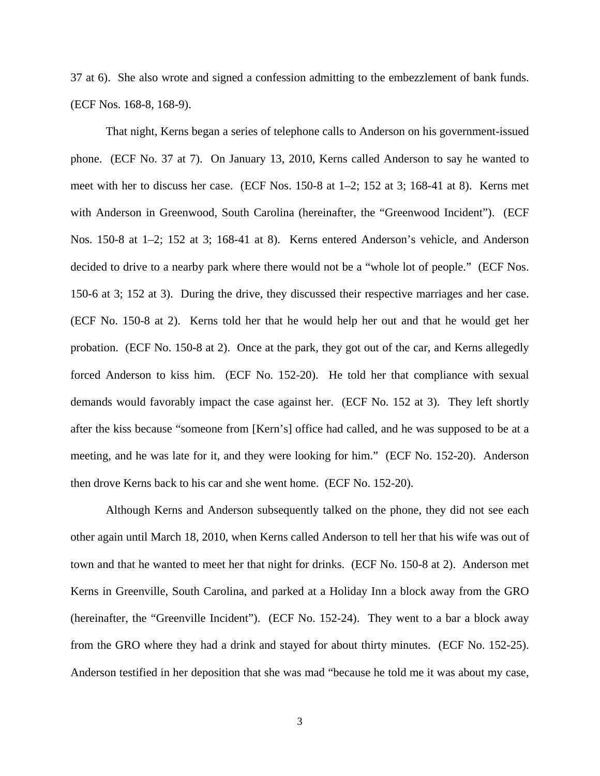37 at 6). She also wrote and signed a confession admitting to the embezzlement of bank funds. (ECF Nos. 168-8, 168-9).

 That night, Kerns began a series of telephone calls to Anderson on his government-issued phone. (ECF No. 37 at 7). On January 13, 2010, Kerns called Anderson to say he wanted to meet with her to discuss her case. (ECF Nos. 150-8 at 1–2; 152 at 3; 168-41 at 8). Kerns met with Anderson in Greenwood, South Carolina (hereinafter, the "Greenwood Incident"). (ECF Nos. 150-8 at 1–2; 152 at 3; 168-41 at 8). Kerns entered Anderson's vehicle, and Anderson decided to drive to a nearby park where there would not be a "whole lot of people." (ECF Nos. 150-6 at 3; 152 at 3). During the drive, they discussed their respective marriages and her case. (ECF No. 150-8 at 2). Kerns told her that he would help her out and that he would get her probation. (ECF No. 150-8 at 2). Once at the park, they got out of the car, and Kerns allegedly forced Anderson to kiss him. (ECF No. 152-20). He told her that compliance with sexual demands would favorably impact the case against her. (ECF No. 152 at 3). They left shortly after the kiss because "someone from [Kern's] office had called, and he was supposed to be at a meeting, and he was late for it, and they were looking for him." (ECF No. 152-20). Anderson then drove Kerns back to his car and she went home. (ECF No. 152-20).

 Although Kerns and Anderson subsequently talked on the phone, they did not see each other again until March 18, 2010, when Kerns called Anderson to tell her that his wife was out of town and that he wanted to meet her that night for drinks. (ECF No. 150-8 at 2). Anderson met Kerns in Greenville, South Carolina, and parked at a Holiday Inn a block away from the GRO (hereinafter, the "Greenville Incident"). (ECF No. 152-24). They went to a bar a block away from the GRO where they had a drink and stayed for about thirty minutes. (ECF No. 152-25). Anderson testified in her deposition that she was mad "because he told me it was about my case,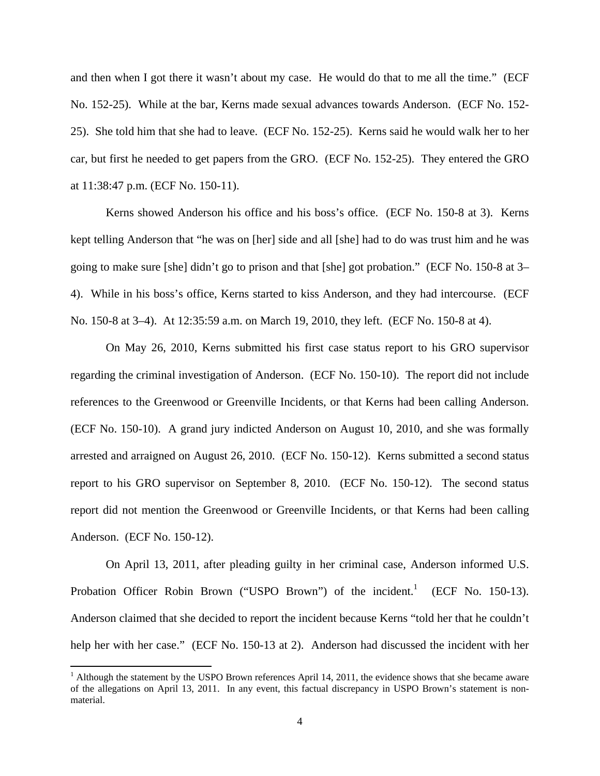and then when I got there it wasn't about my case. He would do that to me all the time." (ECF No. 152-25). While at the bar, Kerns made sexual advances towards Anderson. (ECF No. 152- 25). She told him that she had to leave. (ECF No. 152-25). Kerns said he would walk her to her car, but first he needed to get papers from the GRO. (ECF No. 152-25). They entered the GRO at 11:38:47 p.m. (ECF No. 150-11).

 Kerns showed Anderson his office and his boss's office. (ECF No. 150-8 at 3). Kerns kept telling Anderson that "he was on [her] side and all [she] had to do was trust him and he was going to make sure [she] didn't go to prison and that [she] got probation." (ECF No. 150-8 at 3– 4). While in his boss's office, Kerns started to kiss Anderson, and they had intercourse. (ECF No. 150-8 at 3–4). At 12:35:59 a.m. on March 19, 2010, they left. (ECF No. 150-8 at 4).

 On May 26, 2010, Kerns submitted his first case status report to his GRO supervisor regarding the criminal investigation of Anderson. (ECF No. 150-10). The report did not include references to the Greenwood or Greenville Incidents, or that Kerns had been calling Anderson. (ECF No. 150-10). A grand jury indicted Anderson on August 10, 2010, and she was formally arrested and arraigned on August 26, 2010. (ECF No. 150-12). Kerns submitted a second status report to his GRO supervisor on September 8, 2010. (ECF No. 150-12). The second status report did not mention the Greenwood or Greenville Incidents, or that Kerns had been calling Anderson. (ECF No. 150-12).

 On April 13, 2011, after pleading guilty in her criminal case, Anderson informed U.S. Probation Officer Robin Brown ("USPO Brown") of the incident.<sup>1</sup> (ECF No. 150-13). Anderson claimed that she decided to report the incident because Kerns "told her that he couldn't help her with her case." (ECF No. 150-13 at 2). Anderson had discussed the incident with her

 $<sup>1</sup>$  Although the statement by the USPO Brown references April 14, 2011, the evidence shows that she became aware</sup> of the allegations on April 13, 2011. In any event, this factual discrepancy in USPO Brown's statement is nonmaterial.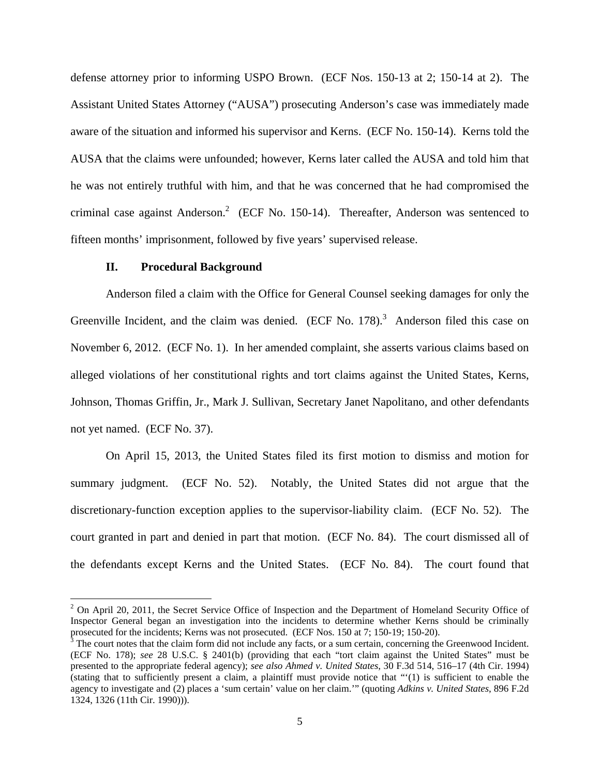defense attorney prior to informing USPO Brown. (ECF Nos. 150-13 at 2; 150-14 at 2). The Assistant United States Attorney ("AUSA") prosecuting Anderson's case was immediately made aware of the situation and informed his supervisor and Kerns. (ECF No. 150-14). Kerns told the AUSA that the claims were unfounded; however, Kerns later called the AUSA and told him that he was not entirely truthful with him, and that he was concerned that he had compromised the criminal case against Anderson.<sup>2</sup> (ECF No. 150-14). Thereafter, Anderson was sentenced to fifteen months' imprisonment, followed by five years' supervised release.

### **II. Procedural Background**

 Anderson filed a claim with the Office for General Counsel seeking damages for only the Greenville Incident, and the claim was denied. (ECF No.  $178$ ).<sup>3</sup> Anderson filed this case on November 6, 2012. (ECF No. 1). In her amended complaint, she asserts various claims based on alleged violations of her constitutional rights and tort claims against the United States, Kerns, Johnson, Thomas Griffin, Jr., Mark J. Sullivan, Secretary Janet Napolitano, and other defendants not yet named. (ECF No. 37).

 On April 15, 2013, the United States filed its first motion to dismiss and motion for summary judgment. (ECF No. 52). Notably, the United States did not argue that the discretionary-function exception applies to the supervisor-liability claim. (ECF No. 52). The court granted in part and denied in part that motion. (ECF No. 84). The court dismissed all of the defendants except Kerns and the United States. (ECF No. 84). The court found that

<sup>&</sup>lt;sup>2</sup> On April 20, 2011, the Secret Service Office of Inspection and the Department of Homeland Security Office of Inspector General began an investigation into the incidents to determine whether Kerns should be criminally prosecuted for the incidents; Kerns was not prosecuted. (ECF Nos. 150 at 7; 150-19; 150-20).

 $3$  The court notes that the claim form did not include any facts, or a sum certain, concerning the Greenwood Incident. (ECF No. 178); *see* 28 U.S.C. § 2401(b) (providing that each "tort claim against the United States" must be presented to the appropriate federal agency); *see also Ahmed v. United States*, 30 F.3d 514, 516–17 (4th Cir. 1994) (stating that to sufficiently present a claim, a plaintiff must provide notice that "'(1) is sufficient to enable the agency to investigate and (2) places a 'sum certain' value on her claim.'" (quoting *Adkins v. United States*, 896 F.2d 1324, 1326 (11th Cir. 1990))).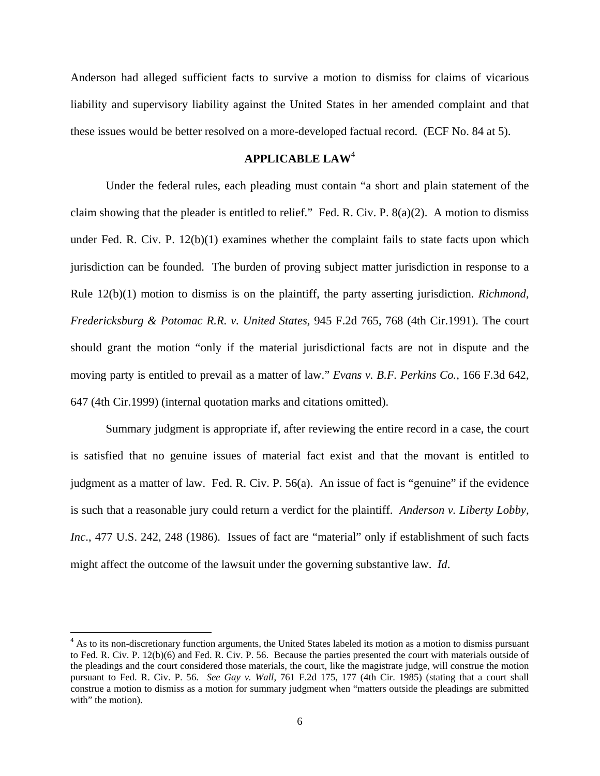Anderson had alleged sufficient facts to survive a motion to dismiss for claims of vicarious liability and supervisory liability against the United States in her amended complaint and that these issues would be better resolved on a more-developed factual record. (ECF No. 84 at 5).

# **APPLICABLE LAW**<sup>4</sup>

 Under the federal rules, each pleading must contain "a short and plain statement of the claim showing that the pleader is entitled to relief." Fed. R. Civ. P.  $8(a)(2)$ . A motion to dismiss under Fed. R. Civ. P.  $12(b)(1)$  examines whether the complaint fails to state facts upon which jurisdiction can be founded. The burden of proving subject matter jurisdiction in response to a Rule 12(b)(1) motion to dismiss is on the plaintiff, the party asserting jurisdiction. *Richmond, Fredericksburg & Potomac R.R. v. United States,* 945 F.2d 765, 768 (4th Cir.1991). The court should grant the motion "only if the material jurisdictional facts are not in dispute and the moving party is entitled to prevail as a matter of law." *Evans v. B.F. Perkins Co.,* 166 F.3d 642, 647 (4th Cir.1999) (internal quotation marks and citations omitted).

 Summary judgment is appropriate if, after reviewing the entire record in a case, the court is satisfied that no genuine issues of material fact exist and that the movant is entitled to judgment as a matter of law. Fed. R. Civ. P. 56(a). An issue of fact is "genuine" if the evidence is such that a reasonable jury could return a verdict for the plaintiff. *Anderson v. Liberty Lobby, Inc*., 477 U.S. 242, 248 (1986). Issues of fact are "material" only if establishment of such facts might affect the outcome of the lawsuit under the governing substantive law. *Id*.

<sup>&</sup>lt;sup>4</sup> As to its non-discretionary function arguments, the United States labeled its motion as a motion to dismiss pursuant to Fed. R. Civ. P. 12(b)(6) and Fed. R. Civ. P. 56. Because the parties presented the court with materials outside of the pleadings and the court considered those materials, the court, like the magistrate judge, will construe the motion pursuant to Fed. R. Civ. P. 56. *See Gay v. Wall*, 761 F.2d 175, 177 (4th Cir. 1985) (stating that a court shall construe a motion to dismiss as a motion for summary judgment when "matters outside the pleadings are submitted with" the motion).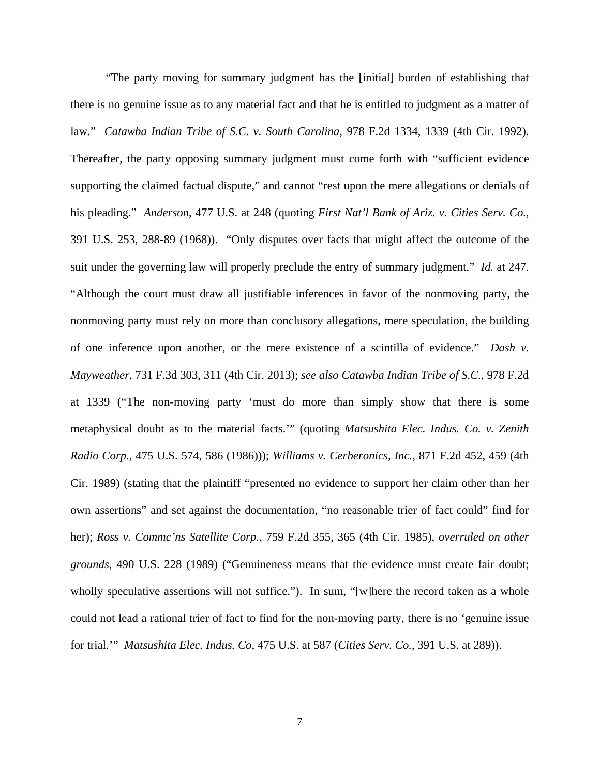"The party moving for summary judgment has the [initial] burden of establishing that there is no genuine issue as to any material fact and that he is entitled to judgment as a matter of law." *Catawba Indian Tribe of S.C. v. South Carolina*, 978 F.2d 1334, 1339 (4th Cir. 1992). Thereafter, the party opposing summary judgment must come forth with "sufficient evidence supporting the claimed factual dispute," and cannot "rest upon the mere allegations or denials of his pleading." *Anderson*, 477 U.S. at 248 (quoting *First Nat'l Bank of Ariz. v. Cities Serv. Co.*, 391 U.S. 253, 288-89 (1968)). "Only disputes over facts that might affect the outcome of the suit under the governing law will properly preclude the entry of summary judgment." *Id.* at 247. "Although the court must draw all justifiable inferences in favor of the nonmoving party, the nonmoving party must rely on more than conclusory allegations, mere speculation, the building of one inference upon another, or the mere existence of a scintilla of evidence." *Dash v. Mayweather*, 731 F.3d 303, 311 (4th Cir. 2013); *see also Catawba Indian Tribe of S.C.*, 978 F.2d at 1339 ("The non-moving party 'must do more than simply show that there is some metaphysical doubt as to the material facts.'" (quoting *Matsushita Elec. Indus. Co. v. Zenith Radio Corp.*, 475 U.S. 574, 586 (1986))); *Williams v. Cerberonics, Inc.*, 871 F.2d 452, 459 (4th Cir. 1989) (stating that the plaintiff "presented no evidence to support her claim other than her own assertions" and set against the documentation, "no reasonable trier of fact could" find for her); *Ross v. Commc'ns Satellite Corp.*, 759 F.2d 355, 365 (4th Cir. 1985), *overruled on other grounds*, 490 U.S. 228 (1989) ("Genuineness means that the evidence must create fair doubt; wholly speculative assertions will not suffice."). In sum, "[w]here the record taken as a whole could not lead a rational trier of fact to find for the non-moving party, there is no 'genuine issue for trial.'" *Matsushita Elec. Indus. Co*, 475 U.S. at 587 (*Cities Serv. Co.*, 391 U.S. at 289)).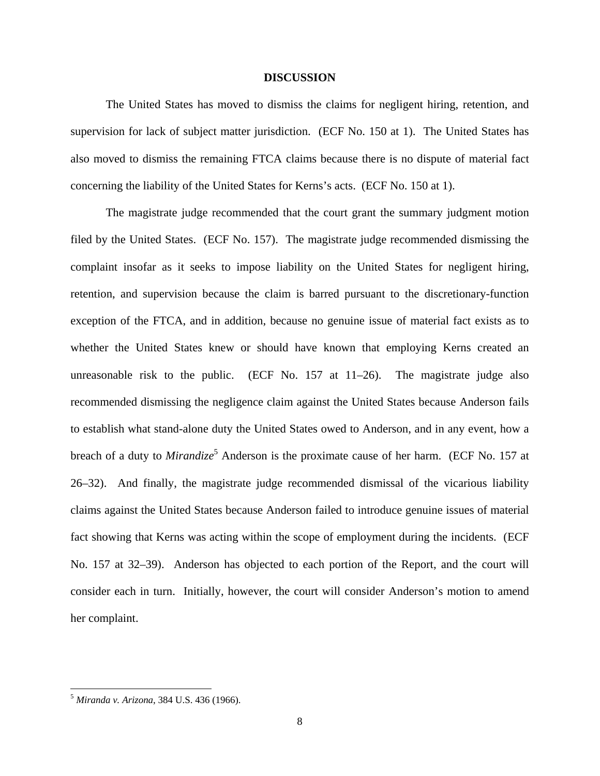### **DISCUSSION**

 The United States has moved to dismiss the claims for negligent hiring, retention, and supervision for lack of subject matter jurisdiction. (ECF No. 150 at 1). The United States has also moved to dismiss the remaining FTCA claims because there is no dispute of material fact concerning the liability of the United States for Kerns's acts. (ECF No. 150 at 1).

 The magistrate judge recommended that the court grant the summary judgment motion filed by the United States. (ECF No. 157). The magistrate judge recommended dismissing the complaint insofar as it seeks to impose liability on the United States for negligent hiring, retention, and supervision because the claim is barred pursuant to the discretionary-function exception of the FTCA, and in addition, because no genuine issue of material fact exists as to whether the United States knew or should have known that employing Kerns created an unreasonable risk to the public. (ECF No.  $157$  at  $11-26$ ). The magistrate judge also recommended dismissing the negligence claim against the United States because Anderson fails to establish what stand-alone duty the United States owed to Anderson, and in any event, how a breach of a duty to *Mirandize*<sup>5</sup> Anderson is the proximate cause of her harm. (ECF No. 157 at 26–32). And finally, the magistrate judge recommended dismissal of the vicarious liability claims against the United States because Anderson failed to introduce genuine issues of material fact showing that Kerns was acting within the scope of employment during the incidents. (ECF No. 157 at 32–39). Anderson has objected to each portion of the Report, and the court will consider each in turn. Initially, however, the court will consider Anderson's motion to amend her complaint.

<sup>5</sup> *Miranda v. Arizona*, 384 U.S. 436 (1966).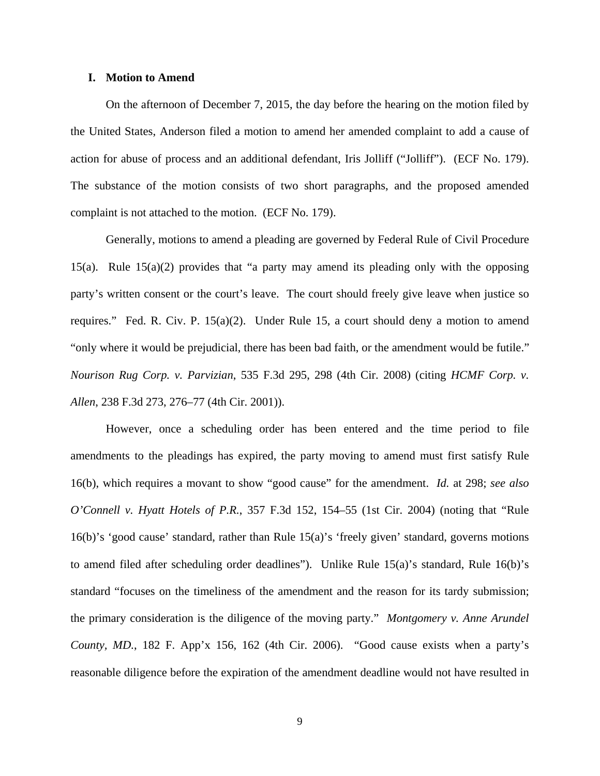### **I. Motion to Amend**

 On the afternoon of December 7, 2015, the day before the hearing on the motion filed by the United States, Anderson filed a motion to amend her amended complaint to add a cause of action for abuse of process and an additional defendant, Iris Jolliff ("Jolliff"). (ECF No. 179). The substance of the motion consists of two short paragraphs, and the proposed amended complaint is not attached to the motion. (ECF No. 179).

 Generally, motions to amend a pleading are governed by Federal Rule of Civil Procedure 15(a). Rule 15(a)(2) provides that "a party may amend its pleading only with the opposing party's written consent or the court's leave. The court should freely give leave when justice so requires." Fed. R. Civ. P. 15(a)(2). Under Rule 15, a court should deny a motion to amend "only where it would be prejudicial, there has been bad faith, or the amendment would be futile." *Nourison Rug Corp. v. Parvizian*, 535 F.3d 295, 298 (4th Cir. 2008) (citing *HCMF Corp. v. Allen*, 238 F.3d 273, 276–77 (4th Cir. 2001)).

 However, once a scheduling order has been entered and the time period to file amendments to the pleadings has expired, the party moving to amend must first satisfy Rule 16(b), which requires a movant to show "good cause" for the amendment. *Id.* at 298; *see also O'Connell v. Hyatt Hotels of P.R.*, 357 F.3d 152, 154–55 (1st Cir. 2004) (noting that "Rule 16(b)'s 'good cause' standard, rather than Rule 15(a)'s 'freely given' standard, governs motions to amend filed after scheduling order deadlines"). Unlike Rule 15(a)'s standard, Rule 16(b)'s standard "focuses on the timeliness of the amendment and the reason for its tardy submission; the primary consideration is the diligence of the moving party." *Montgomery v. Anne Arundel County, MD.*, 182 F. App'x 156, 162 (4th Cir. 2006). "Good cause exists when a party's reasonable diligence before the expiration of the amendment deadline would not have resulted in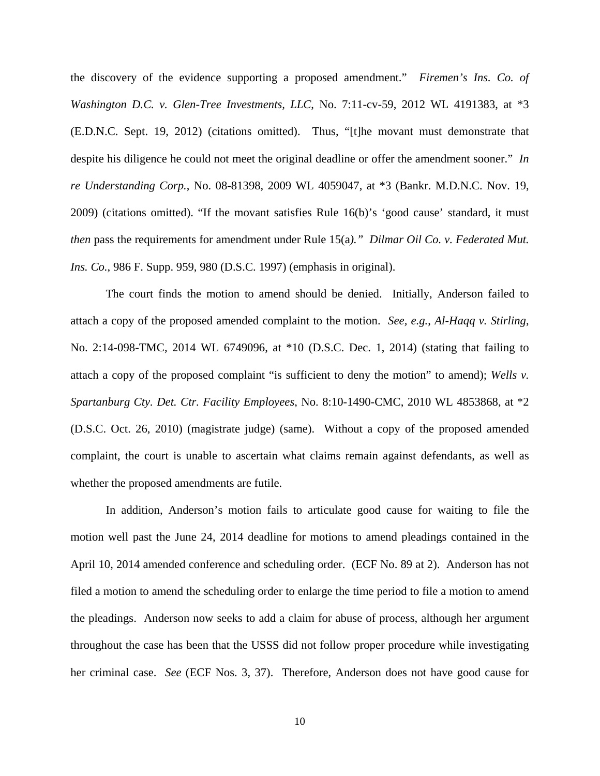the discovery of the evidence supporting a proposed amendment." *Firemen's Ins. Co. of Washington D.C. v. Glen-Tree Investments, LLC*, No. 7:11-cv-59, 2012 WL 4191383, at \*3 (E.D.N.C. Sept. 19, 2012) (citations omitted). Thus, "[t]he movant must demonstrate that despite his diligence he could not meet the original deadline or offer the amendment sooner." *In re Understanding Corp.*, No. 08-81398, 2009 WL 4059047, at \*3 (Bankr. M.D.N.C. Nov. 19, 2009) (citations omitted). "If the movant satisfies Rule 16(b)'s 'good cause' standard, it must *then* pass the requirements for amendment under Rule 15(a*)." Dilmar Oil Co. v. Federated Mut. Ins. Co.*, 986 F. Supp. 959, 980 (D.S.C. 1997) (emphasis in original).

 The court finds the motion to amend should be denied. Initially, Anderson failed to attach a copy of the proposed amended complaint to the motion. *See, e.g.*, *Al-Haqq v. Stirling*, No. 2:14-098-TMC, 2014 WL 6749096, at \*10 (D.S.C. Dec. 1, 2014) (stating that failing to attach a copy of the proposed complaint "is sufficient to deny the motion" to amend); *Wells v. Spartanburg Cty. Det. Ctr. Facility Employees*, No. 8:10-1490-CMC, 2010 WL 4853868, at \*2 (D.S.C. Oct. 26, 2010) (magistrate judge) (same). Without a copy of the proposed amended complaint, the court is unable to ascertain what claims remain against defendants, as well as whether the proposed amendments are futile.

In addition, Anderson's motion fails to articulate good cause for waiting to file the motion well past the June 24, 2014 deadline for motions to amend pleadings contained in the April 10, 2014 amended conference and scheduling order. (ECF No. 89 at 2). Anderson has not filed a motion to amend the scheduling order to enlarge the time period to file a motion to amend the pleadings. Anderson now seeks to add a claim for abuse of process, although her argument throughout the case has been that the USSS did not follow proper procedure while investigating her criminal case. *See* (ECF Nos. 3, 37). Therefore, Anderson does not have good cause for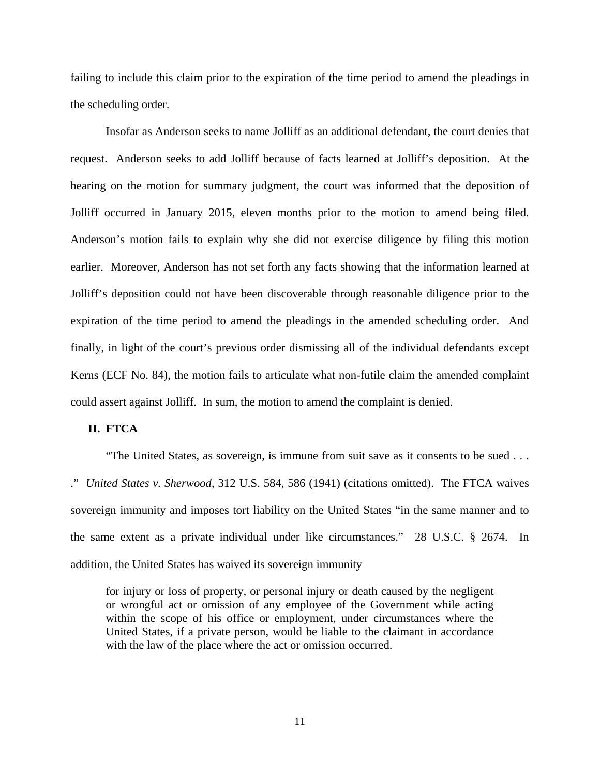failing to include this claim prior to the expiration of the time period to amend the pleadings in the scheduling order.

 Insofar as Anderson seeks to name Jolliff as an additional defendant, the court denies that request. Anderson seeks to add Jolliff because of facts learned at Jolliff's deposition. At the hearing on the motion for summary judgment, the court was informed that the deposition of Jolliff occurred in January 2015, eleven months prior to the motion to amend being filed. Anderson's motion fails to explain why she did not exercise diligence by filing this motion earlier. Moreover, Anderson has not set forth any facts showing that the information learned at Jolliff's deposition could not have been discoverable through reasonable diligence prior to the expiration of the time period to amend the pleadings in the amended scheduling order. And finally, in light of the court's previous order dismissing all of the individual defendants except Kerns (ECF No. 84), the motion fails to articulate what non-futile claim the amended complaint could assert against Jolliff. In sum, the motion to amend the complaint is denied.

### **II. FTCA**

 "The United States, as sovereign, is immune from suit save as it consents to be sued . . . ." *United States v. Sherwood*, 312 U.S. 584, 586 (1941) (citations omitted). The FTCA waives sovereign immunity and imposes tort liability on the United States "in the same manner and to the same extent as a private individual under like circumstances." 28 U.S.C. § 2674. In addition, the United States has waived its sovereign immunity

for injury or loss of property, or personal injury or death caused by the negligent or wrongful act or omission of any employee of the Government while acting within the scope of his office or employment, under circumstances where the United States, if a private person, would be liable to the claimant in accordance with the law of the place where the act or omission occurred.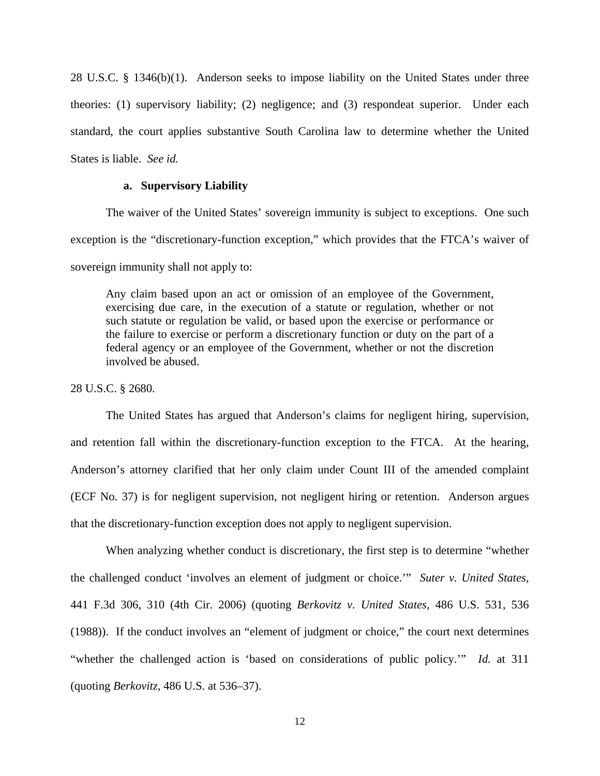28 U.S.C. § 1346(b)(1). Anderson seeks to impose liability on the United States under three theories: (1) supervisory liability; (2) negligence; and (3) respondeat superior. Under each standard, the court applies substantive South Carolina law to determine whether the United States is liable. *See id.* 

## **a. Supervisory Liability**

 The waiver of the United States' sovereign immunity is subject to exceptions. One such exception is the "discretionary-function exception," which provides that the FTCA's waiver of sovereign immunity shall not apply to:

Any claim based upon an act or omission of an employee of the Government, exercising due care, in the execution of a statute or regulation, whether or not such statute or regulation be valid, or based upon the exercise or performance or the failure to exercise or perform a discretionary function or duty on the part of a federal agency or an employee of the Government, whether or not the discretion involved be abused.

28 U.S.C. § 2680.

 The United States has argued that Anderson's claims for negligent hiring, supervision, and retention fall within the discretionary-function exception to the FTCA. At the hearing, Anderson's attorney clarified that her only claim under Count III of the amended complaint (ECF No. 37) is for negligent supervision, not negligent hiring or retention. Anderson argues that the discretionary-function exception does not apply to negligent supervision.

 When analyzing whether conduct is discretionary, the first step is to determine "whether the challenged conduct 'involves an element of judgment or choice.'" *Suter v. United States*, 441 F.3d 306, 310 (4th Cir. 2006) (quoting *Berkovitz v. United States*, 486 U.S. 531, 536 (1988)). If the conduct involves an "element of judgment or choice," the court next determines "whether the challenged action is 'based on considerations of public policy.'" *Id.* at 311 (quoting *Berkovitz*, 486 U.S. at 536–37).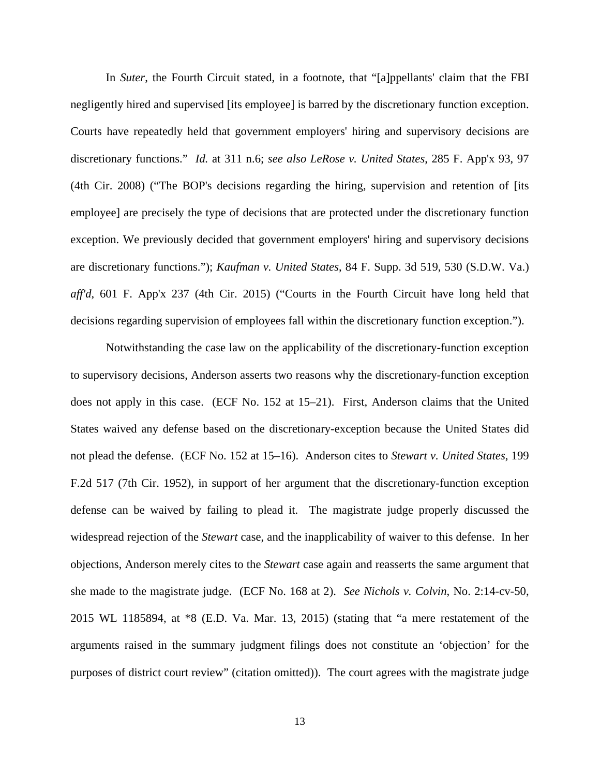In *Suter*, the Fourth Circuit stated, in a footnote, that "[a]ppellants' claim that the FBI negligently hired and supervised [its employee] is barred by the discretionary function exception. Courts have repeatedly held that government employers' hiring and supervisory decisions are discretionary functions." *Id.* at 311 n.6; *see also LeRose v. United States*, 285 F. App'x 93, 97 (4th Cir. 2008) ("The BOP's decisions regarding the hiring, supervision and retention of [its employee] are precisely the type of decisions that are protected under the discretionary function exception. We previously decided that government employers' hiring and supervisory decisions are discretionary functions."); *Kaufman v. United States*, 84 F. Supp. 3d 519, 530 (S.D.W. Va.) *aff'd*, 601 F. App'x 237 (4th Cir. 2015) ("Courts in the Fourth Circuit have long held that decisions regarding supervision of employees fall within the discretionary function exception.").

 Notwithstanding the case law on the applicability of the discretionary-function exception to supervisory decisions, Anderson asserts two reasons why the discretionary-function exception does not apply in this case. (ECF No. 152 at 15–21). First, Anderson claims that the United States waived any defense based on the discretionary-exception because the United States did not plead the defense. (ECF No. 152 at 15–16). Anderson cites to *Stewart v. United States*, 199 F.2d 517 (7th Cir. 1952), in support of her argument that the discretionary-function exception defense can be waived by failing to plead it. The magistrate judge properly discussed the widespread rejection of the *Stewart* case, and the inapplicability of waiver to this defense. In her objections, Anderson merely cites to the *Stewart* case again and reasserts the same argument that she made to the magistrate judge. (ECF No. 168 at 2). *See Nichols v. Colvin*, No. 2:14-cv-50, 2015 WL 1185894, at \*8 (E.D. Va. Mar. 13, 2015) (stating that "a mere restatement of the arguments raised in the summary judgment filings does not constitute an 'objection' for the purposes of district court review" (citation omitted)). The court agrees with the magistrate judge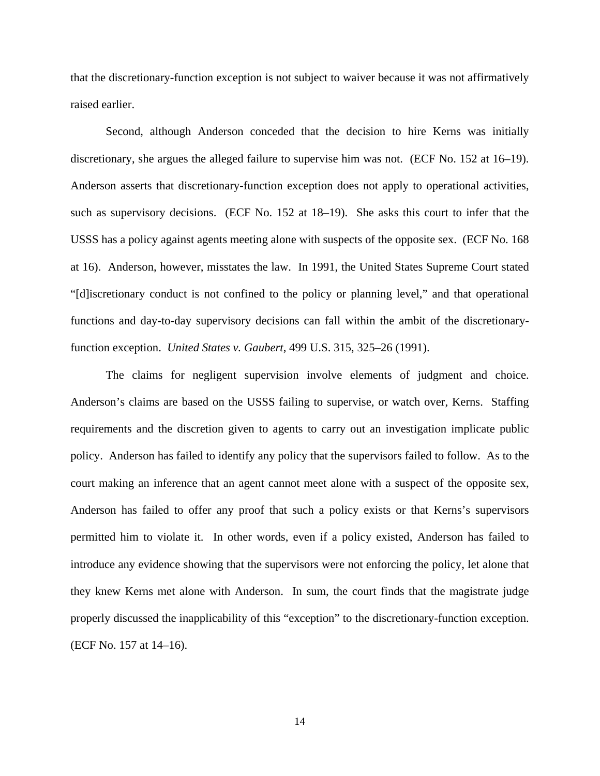that the discretionary-function exception is not subject to waiver because it was not affirmatively raised earlier.

 Second, although Anderson conceded that the decision to hire Kerns was initially discretionary, she argues the alleged failure to supervise him was not. (ECF No. 152 at 16–19). Anderson asserts that discretionary-function exception does not apply to operational activities, such as supervisory decisions. (ECF No. 152 at 18–19). She asks this court to infer that the USSS has a policy against agents meeting alone with suspects of the opposite sex. (ECF No. 168 at 16). Anderson, however, misstates the law. In 1991, the United States Supreme Court stated "[d]iscretionary conduct is not confined to the policy or planning level," and that operational functions and day-to-day supervisory decisions can fall within the ambit of the discretionaryfunction exception. *United States v. Gaubert*, 499 U.S. 315, 325–26 (1991).

 The claims for negligent supervision involve elements of judgment and choice. Anderson's claims are based on the USSS failing to supervise, or watch over, Kerns. Staffing requirements and the discretion given to agents to carry out an investigation implicate public policy. Anderson has failed to identify any policy that the supervisors failed to follow. As to the court making an inference that an agent cannot meet alone with a suspect of the opposite sex, Anderson has failed to offer any proof that such a policy exists or that Kerns's supervisors permitted him to violate it. In other words, even if a policy existed, Anderson has failed to introduce any evidence showing that the supervisors were not enforcing the policy, let alone that they knew Kerns met alone with Anderson. In sum, the court finds that the magistrate judge properly discussed the inapplicability of this "exception" to the discretionary-function exception. (ECF No. 157 at 14–16).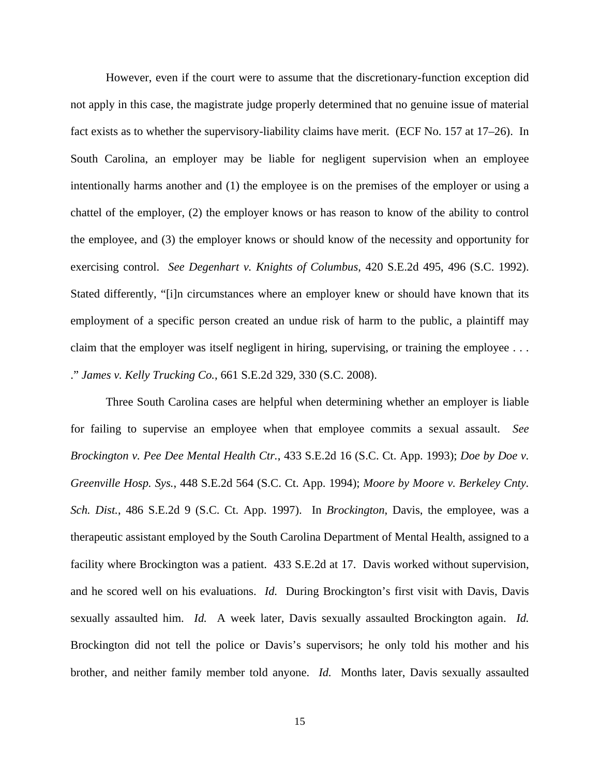However, even if the court were to assume that the discretionary-function exception did not apply in this case, the magistrate judge properly determined that no genuine issue of material fact exists as to whether the supervisory-liability claims have merit. (ECF No. 157 at 17–26). In South Carolina, an employer may be liable for negligent supervision when an employee intentionally harms another and (1) the employee is on the premises of the employer or using a chattel of the employer, (2) the employer knows or has reason to know of the ability to control the employee, and (3) the employer knows or should know of the necessity and opportunity for exercising control. *See Degenhart v. Knights of Columbus*, 420 S.E.2d 495, 496 (S.C. 1992). Stated differently, "[i]n circumstances where an employer knew or should have known that its employment of a specific person created an undue risk of harm to the public, a plaintiff may claim that the employer was itself negligent in hiring, supervising, or training the employee ... ." *James v. Kelly Trucking Co.*, 661 S.E.2d 329, 330 (S.C. 2008).

 Three South Carolina cases are helpful when determining whether an employer is liable for failing to supervise an employee when that employee commits a sexual assault. *See Brockington v. Pee Dee Mental Health Ctr.*, 433 S.E.2d 16 (S.C. Ct. App. 1993); *Doe by Doe v. Greenville Hosp. Sys.*, 448 S.E.2d 564 (S.C. Ct. App. 1994); *Moore by Moore v. Berkeley Cnty. Sch. Dist.*, 486 S.E.2d 9 (S.C. Ct. App. 1997). In *Brockington*, Davis, the employee, was a therapeutic assistant employed by the South Carolina Department of Mental Health, assigned to a facility where Brockington was a patient. 433 S.E.2d at 17. Davis worked without supervision, and he scored well on his evaluations. *Id.* During Brockington's first visit with Davis, Davis sexually assaulted him. *Id.* A week later, Davis sexually assaulted Brockington again. *Id.*  Brockington did not tell the police or Davis's supervisors; he only told his mother and his brother, and neither family member told anyone. *Id.* Months later, Davis sexually assaulted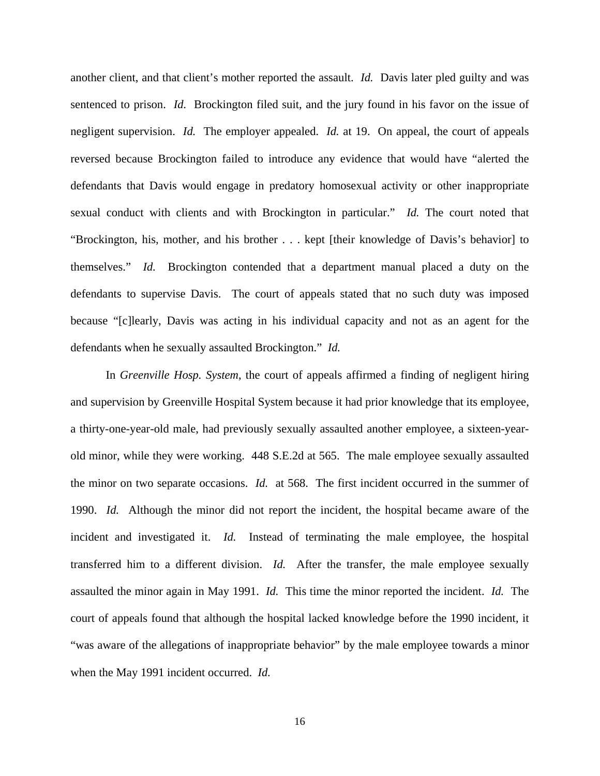another client, and that client's mother reported the assault. *Id.* Davis later pled guilty and was sentenced to prison. *Id.* Brockington filed suit, and the jury found in his favor on the issue of negligent supervision. *Id.* The employer appealed. *Id.* at 19. On appeal, the court of appeals reversed because Brockington failed to introduce any evidence that would have "alerted the defendants that Davis would engage in predatory homosexual activity or other inappropriate sexual conduct with clients and with Brockington in particular." *Id.* The court noted that "Brockington, his, mother, and his brother . . . kept [their knowledge of Davis's behavior] to themselves." *Id.* Brockington contended that a department manual placed a duty on the defendants to supervise Davis. The court of appeals stated that no such duty was imposed because "[c]learly, Davis was acting in his individual capacity and not as an agent for the defendants when he sexually assaulted Brockington." *Id.* 

 In *Greenville Hosp. System*, the court of appeals affirmed a finding of negligent hiring and supervision by Greenville Hospital System because it had prior knowledge that its employee, a thirty-one-year-old male, had previously sexually assaulted another employee, a sixteen-yearold minor, while they were working. 448 S.E.2d at 565. The male employee sexually assaulted the minor on two separate occasions. *Id.* at 568. The first incident occurred in the summer of 1990. *Id.* Although the minor did not report the incident, the hospital became aware of the incident and investigated it. *Id.* Instead of terminating the male employee, the hospital transferred him to a different division. *Id.* After the transfer, the male employee sexually assaulted the minor again in May 1991. *Id.* This time the minor reported the incident. *Id.* The court of appeals found that although the hospital lacked knowledge before the 1990 incident, it "was aware of the allegations of inappropriate behavior" by the male employee towards a minor when the May 1991 incident occurred. *Id.*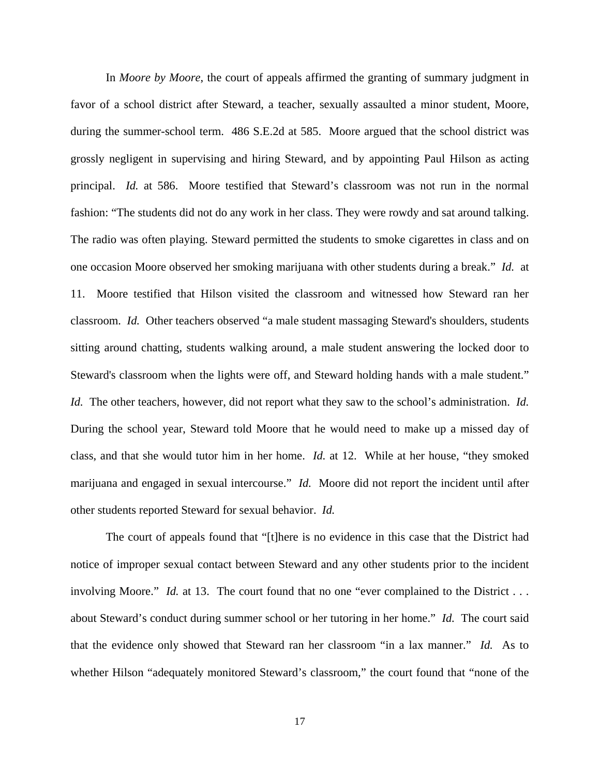In *Moore by Moore*, the court of appeals affirmed the granting of summary judgment in favor of a school district after Steward, a teacher, sexually assaulted a minor student, Moore, during the summer-school term. 486 S.E.2d at 585. Moore argued that the school district was grossly negligent in supervising and hiring Steward, and by appointing Paul Hilson as acting principal. *Id.* at 586. Moore testified that Steward's classroom was not run in the normal fashion: "The students did not do any work in her class. They were rowdy and sat around talking. The radio was often playing. Steward permitted the students to smoke cigarettes in class and on one occasion Moore observed her smoking marijuana with other students during a break." *Id.* at 11. Moore testified that Hilson visited the classroom and witnessed how Steward ran her classroom. *Id.* Other teachers observed "a male student massaging Steward's shoulders, students sitting around chatting, students walking around, a male student answering the locked door to Steward's classroom when the lights were off, and Steward holding hands with a male student." *Id.* The other teachers, however, did not report what they saw to the school's administration. *Id.*  During the school year, Steward told Moore that he would need to make up a missed day of class, and that she would tutor him in her home. *Id.* at 12. While at her house, "they smoked marijuana and engaged in sexual intercourse." *Id.* Moore did not report the incident until after other students reported Steward for sexual behavior. *Id.* 

 The court of appeals found that "[t]here is no evidence in this case that the District had notice of improper sexual contact between Steward and any other students prior to the incident involving Moore." *Id.* at 13. The court found that no one "ever complained to the District . . . about Steward's conduct during summer school or her tutoring in her home." *Id.* The court said that the evidence only showed that Steward ran her classroom "in a lax manner." *Id.* As to whether Hilson "adequately monitored Steward's classroom," the court found that "none of the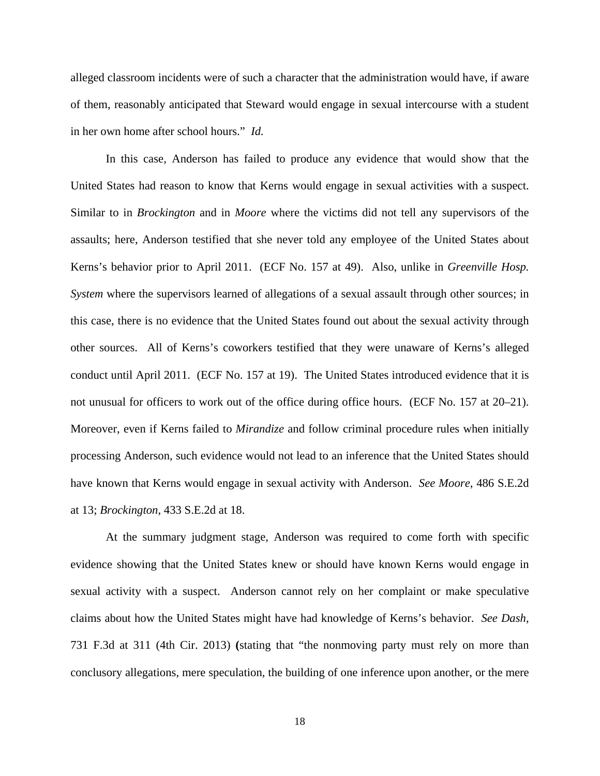alleged classroom incidents were of such a character that the administration would have, if aware of them, reasonably anticipated that Steward would engage in sexual intercourse with a student in her own home after school hours." *Id.* 

 In this case, Anderson has failed to produce any evidence that would show that the United States had reason to know that Kerns would engage in sexual activities with a suspect. Similar to in *Brockington* and in *Moore* where the victims did not tell any supervisors of the assaults; here, Anderson testified that she never told any employee of the United States about Kerns's behavior prior to April 2011. (ECF No. 157 at 49). Also, unlike in *Greenville Hosp. System* where the supervisors learned of allegations of a sexual assault through other sources; in this case, there is no evidence that the United States found out about the sexual activity through other sources. All of Kerns's coworkers testified that they were unaware of Kerns's alleged conduct until April 2011. (ECF No. 157 at 19). The United States introduced evidence that it is not unusual for officers to work out of the office during office hours. (ECF No. 157 at 20–21). Moreover, even if Kerns failed to *Mirandize* and follow criminal procedure rules when initially processing Anderson, such evidence would not lead to an inference that the United States should have known that Kerns would engage in sexual activity with Anderson. *See Moore*, 486 S.E.2d at 13; *Brockington*, 433 S.E.2d at 18.

 At the summary judgment stage, Anderson was required to come forth with specific evidence showing that the United States knew or should have known Kerns would engage in sexual activity with a suspect. Anderson cannot rely on her complaint or make speculative claims about how the United States might have had knowledge of Kerns's behavior. *See Dash*, 731 F.3d at 311 (4th Cir. 2013) **(**stating that "the nonmoving party must rely on more than conclusory allegations, mere speculation, the building of one inference upon another, or the mere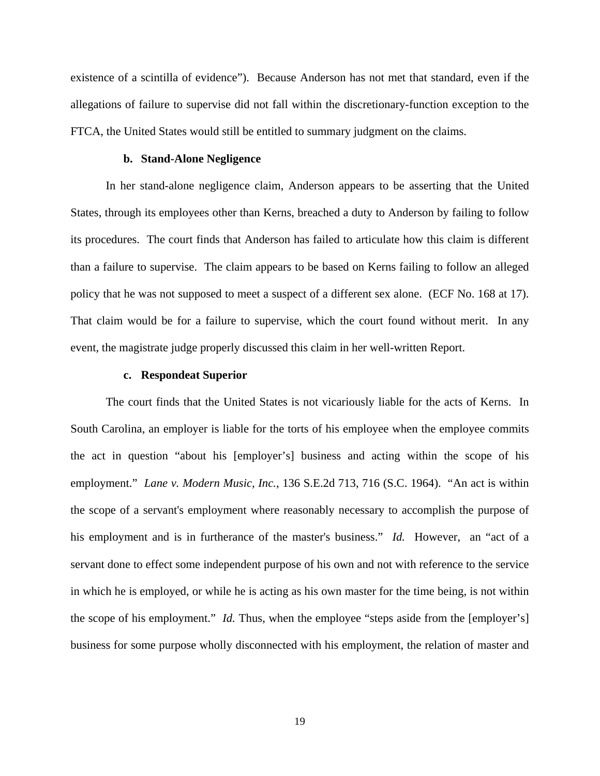existence of a scintilla of evidence"). Because Anderson has not met that standard, even if the allegations of failure to supervise did not fall within the discretionary-function exception to the FTCA, the United States would still be entitled to summary judgment on the claims.

### **b. Stand-Alone Negligence**

 In her stand-alone negligence claim, Anderson appears to be asserting that the United States, through its employees other than Kerns, breached a duty to Anderson by failing to follow its procedures. The court finds that Anderson has failed to articulate how this claim is different than a failure to supervise. The claim appears to be based on Kerns failing to follow an alleged policy that he was not supposed to meet a suspect of a different sex alone. (ECF No. 168 at 17). That claim would be for a failure to supervise, which the court found without merit. In any event, the magistrate judge properly discussed this claim in her well-written Report.

#### **c. Respondeat Superior**

The court finds that the United States is not vicariously liable for the acts of Kerns. In South Carolina, an employer is liable for the torts of his employee when the employee commits the act in question "about his [employer's] business and acting within the scope of his employment." *Lane v. Modern Music, Inc.*, 136 S.E.2d 713, 716 (S.C. 1964). "An act is within the scope of a servant's employment where reasonably necessary to accomplish the purpose of his employment and is in furtherance of the master's business." *Id.* However, an "act of a servant done to effect some independent purpose of his own and not with reference to the service in which he is employed, or while he is acting as his own master for the time being, is not within the scope of his employment." *Id.* Thus, when the employee "steps aside from the [employer's] business for some purpose wholly disconnected with his employment, the relation of master and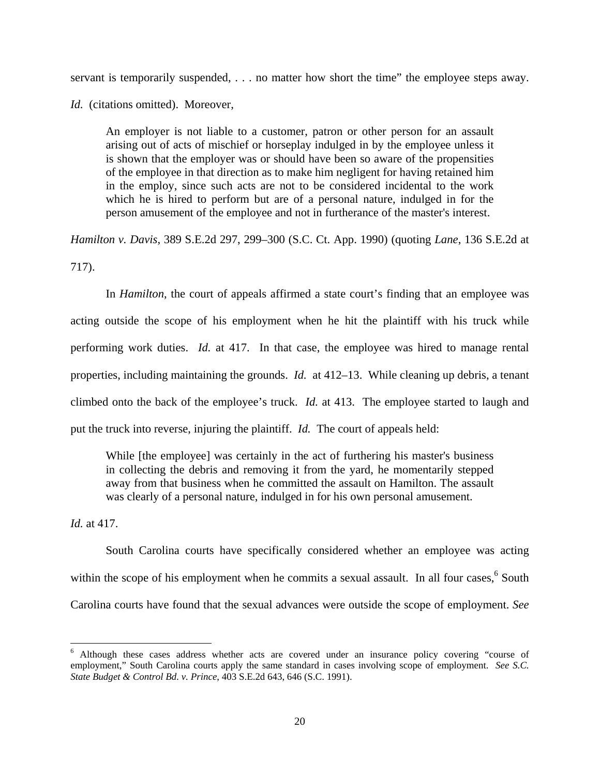servant is temporarily suspended, . . . no matter how short the time" the employee steps away.

*Id.* (citations omitted). Moreover,

An employer is not liable to a customer, patron or other person for an assault arising out of acts of mischief or horseplay indulged in by the employee unless it is shown that the employer was or should have been so aware of the propensities of the employee in that direction as to make him negligent for having retained him in the employ, since such acts are not to be considered incidental to the work which he is hired to perform but are of a personal nature, indulged in for the person amusement of the employee and not in furtherance of the master's interest.

*Hamilton v. Davis*, 389 S.E.2d 297, 299–300 (S.C. Ct. App. 1990) (quoting *Lane*, 136 S.E.2d at 717).

 In *Hamilton*, the court of appeals affirmed a state court's finding that an employee was acting outside the scope of his employment when he hit the plaintiff with his truck while performing work duties. *Id.* at 417. In that case, the employee was hired to manage rental properties, including maintaining the grounds. *Id.* at 412–13. While cleaning up debris, a tenant climbed onto the back of the employee's truck. *Id.* at 413. The employee started to laugh and put the truck into reverse, injuring the plaintiff. *Id.* The court of appeals held:

While [the employee] was certainly in the act of furthering his master's business in collecting the debris and removing it from the yard, he momentarily stepped away from that business when he committed the assault on Hamilton. The assault was clearly of a personal nature, indulged in for his own personal amusement.

*Id.* at 417.

 South Carolina courts have specifically considered whether an employee was acting within the scope of his employment when he commits a sexual assault. In all four cases,  $6$  South Carolina courts have found that the sexual advances were outside the scope of employment. *See* 

<sup>&</sup>lt;sup>6</sup> Although these cases address whether acts are covered under an insurance policy covering "course of employment," South Carolina courts apply the same standard in cases involving scope of employment. *See S.C. State Budget & Control Bd. v. Prince*, 403 S.E.2d 643, 646 (S.C. 1991).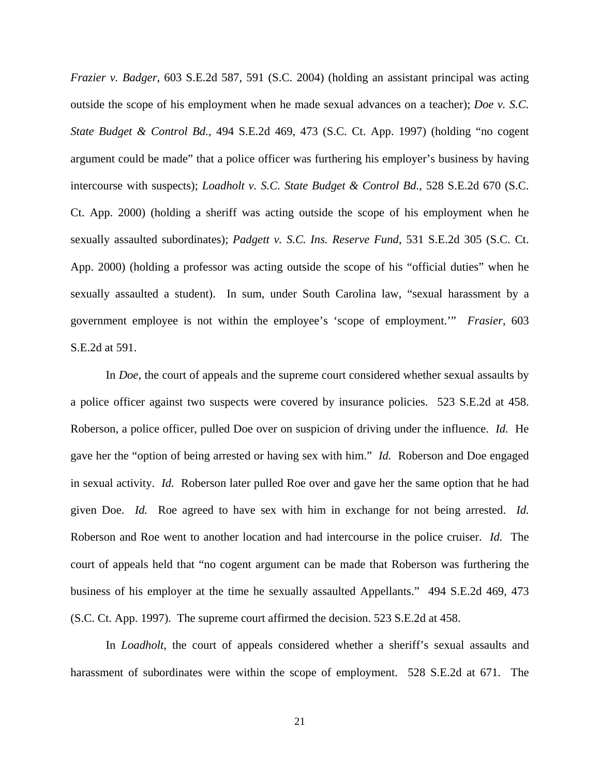*Frazier v. Badger*, 603 S.E.2d 587, 591 (S.C. 2004) (holding an assistant principal was acting outside the scope of his employment when he made sexual advances on a teacher); *Doe v. S.C. State Budget & Control Bd.*, 494 S.E.2d 469, 473 (S.C. Ct. App. 1997) (holding "no cogent argument could be made" that a police officer was furthering his employer's business by having intercourse with suspects); *Loadholt v. S.C. State Budget & Control Bd.*, 528 S.E.2d 670 (S.C. Ct. App. 2000) (holding a sheriff was acting outside the scope of his employment when he sexually assaulted subordinates); *Padgett v. S.C. Ins. Reserve Fund*, 531 S.E.2d 305 (S.C. Ct. App. 2000) (holding a professor was acting outside the scope of his "official duties" when he sexually assaulted a student). In sum, under South Carolina law, "sexual harassment by a government employee is not within the employee's 'scope of employment.'" *Frasier*, 603 S.E.2d at 591.

 In *Doe*, the court of appeals and the supreme court considered whether sexual assaults by a police officer against two suspects were covered by insurance policies. 523 S.E.2d at 458. Roberson, a police officer, pulled Doe over on suspicion of driving under the influence. *Id.* He gave her the "option of being arrested or having sex with him." *Id.* Roberson and Doe engaged in sexual activity. *Id.* Roberson later pulled Roe over and gave her the same option that he had given Doe. *Id.* Roe agreed to have sex with him in exchange for not being arrested. *Id.*  Roberson and Roe went to another location and had intercourse in the police cruiser. *Id.* The court of appeals held that "no cogent argument can be made that Roberson was furthering the business of his employer at the time he sexually assaulted Appellants." 494 S.E.2d 469, 473 (S.C. Ct. App. 1997). The supreme court affirmed the decision. 523 S.E.2d at 458.

 In *Loadholt*, the court of appeals considered whether a sheriff's sexual assaults and harassment of subordinates were within the scope of employment. 528 S.E.2d at 671. The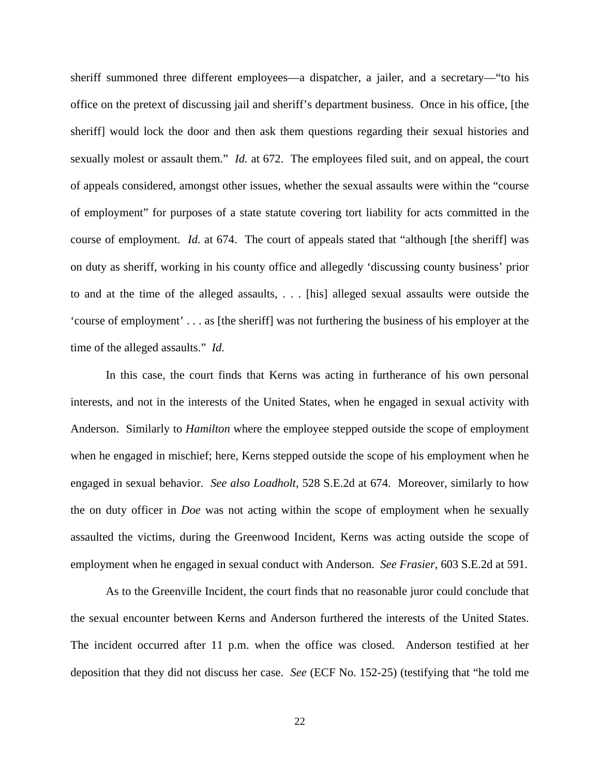sheriff summoned three different employees—a dispatcher, a jailer, and a secretary—"to his office on the pretext of discussing jail and sheriff's department business. Once in his office, [the sheriff] would lock the door and then ask them questions regarding their sexual histories and sexually molest or assault them." *Id.* at 672. The employees filed suit, and on appeal, the court of appeals considered, amongst other issues, whether the sexual assaults were within the "course of employment" for purposes of a state statute covering tort liability for acts committed in the course of employment. *Id.* at 674. The court of appeals stated that "although [the sheriff] was on duty as sheriff, working in his county office and allegedly 'discussing county business' prior to and at the time of the alleged assaults, . . . [his] alleged sexual assaults were outside the 'course of employment' . . . as [the sheriff] was not furthering the business of his employer at the time of the alleged assaults." *Id.* 

 In this case, the court finds that Kerns was acting in furtherance of his own personal interests, and not in the interests of the United States, when he engaged in sexual activity with Anderson. Similarly to *Hamilton* where the employee stepped outside the scope of employment when he engaged in mischief; here, Kerns stepped outside the scope of his employment when he engaged in sexual behavior. *See also Loadholt*, 528 S.E.2d at 674. Moreover, similarly to how the on duty officer in *Doe* was not acting within the scope of employment when he sexually assaulted the victims, during the Greenwood Incident, Kerns was acting outside the scope of employment when he engaged in sexual conduct with Anderson. *See Frasier*, 603 S.E.2d at 591.

 As to the Greenville Incident, the court finds that no reasonable juror could conclude that the sexual encounter between Kerns and Anderson furthered the interests of the United States. The incident occurred after 11 p.m. when the office was closed. Anderson testified at her deposition that they did not discuss her case. *See* (ECF No. 152-25) (testifying that "he told me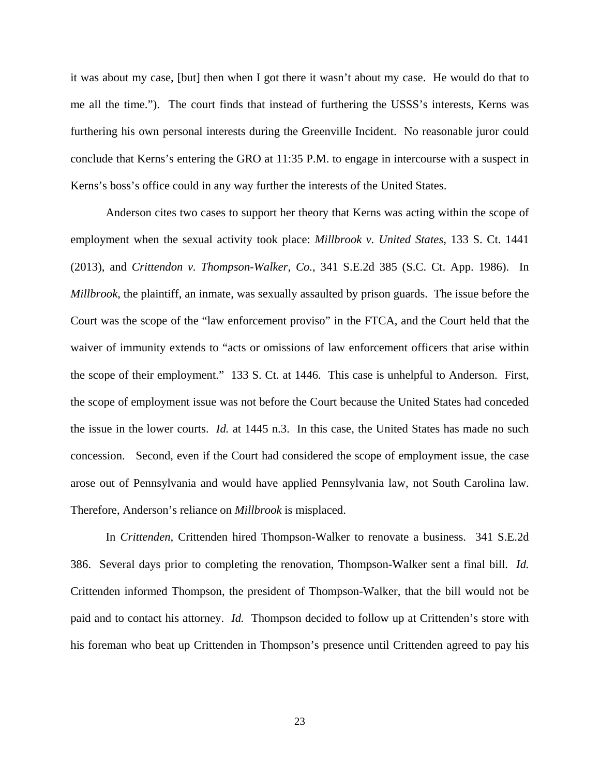it was about my case, [but] then when I got there it wasn't about my case. He would do that to me all the time."). The court finds that instead of furthering the USSS's interests, Kerns was furthering his own personal interests during the Greenville Incident. No reasonable juror could conclude that Kerns's entering the GRO at 11:35 P.M. to engage in intercourse with a suspect in Kerns's boss's office could in any way further the interests of the United States.

 Anderson cites two cases to support her theory that Kerns was acting within the scope of employment when the sexual activity took place: *Millbrook v. United States*, 133 S. Ct. 1441 (2013), and *Crittendon v. Thompson-Walker, Co.*, 341 S.E.2d 385 (S.C. Ct. App. 1986). In *Millbrook*, the plaintiff, an inmate, was sexually assaulted by prison guards. The issue before the Court was the scope of the "law enforcement proviso" in the FTCA, and the Court held that the waiver of immunity extends to "acts or omissions of law enforcement officers that arise within the scope of their employment." 133 S. Ct. at 1446. This case is unhelpful to Anderson. First, the scope of employment issue was not before the Court because the United States had conceded the issue in the lower courts. *Id.* at 1445 n.3. In this case, the United States has made no such concession. Second, even if the Court had considered the scope of employment issue, the case arose out of Pennsylvania and would have applied Pennsylvania law, not South Carolina law. Therefore, Anderson's reliance on *Millbrook* is misplaced.

 In *Crittenden*, Crittenden hired Thompson-Walker to renovate a business. 341 S.E.2d 386. Several days prior to completing the renovation, Thompson-Walker sent a final bill. *Id.*  Crittenden informed Thompson, the president of Thompson-Walker, that the bill would not be paid and to contact his attorney. *Id.* Thompson decided to follow up at Crittenden's store with his foreman who beat up Crittenden in Thompson's presence until Crittenden agreed to pay his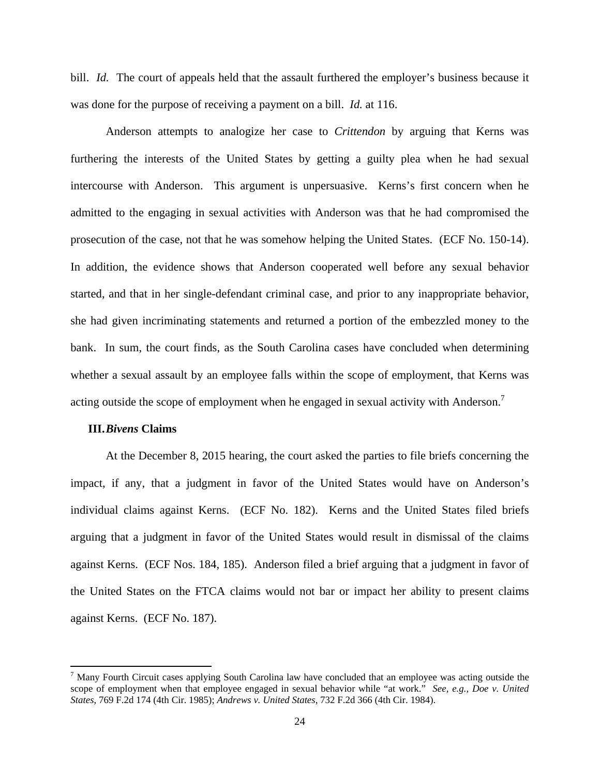bill. *Id.* The court of appeals held that the assault furthered the employer's business because it was done for the purpose of receiving a payment on a bill. *Id.* at 116.

 Anderson attempts to analogize her case to *Crittendon* by arguing that Kerns was furthering the interests of the United States by getting a guilty plea when he had sexual intercourse with Anderson. This argument is unpersuasive. Kerns's first concern when he admitted to the engaging in sexual activities with Anderson was that he had compromised the prosecution of the case, not that he was somehow helping the United States. (ECF No. 150-14). In addition, the evidence shows that Anderson cooperated well before any sexual behavior started, and that in her single-defendant criminal case, and prior to any inappropriate behavior, she had given incriminating statements and returned a portion of the embezzled money to the bank. In sum, the court finds, as the South Carolina cases have concluded when determining whether a sexual assault by an employee falls within the scope of employment, that Kerns was acting outside the scope of employment when he engaged in sexual activity with Anderson.<sup>7</sup>

### **III.***Bivens* **Claims**

 At the December 8, 2015 hearing, the court asked the parties to file briefs concerning the impact, if any, that a judgment in favor of the United States would have on Anderson's individual claims against Kerns. (ECF No. 182). Kerns and the United States filed briefs arguing that a judgment in favor of the United States would result in dismissal of the claims against Kerns. (ECF Nos. 184, 185). Anderson filed a brief arguing that a judgment in favor of the United States on the FTCA claims would not bar or impact her ability to present claims against Kerns. (ECF No. 187).

<sup>&</sup>lt;sup>7</sup> Many Fourth Circuit cases applying South Carolina law have concluded that an employee was acting outside the scope of employment when that employee engaged in sexual behavior while "at work." *See, e.g.*, *Doe v. United States*, 769 F.2d 174 (4th Cir. 1985); *Andrews v. United States*, 732 F.2d 366 (4th Cir. 1984).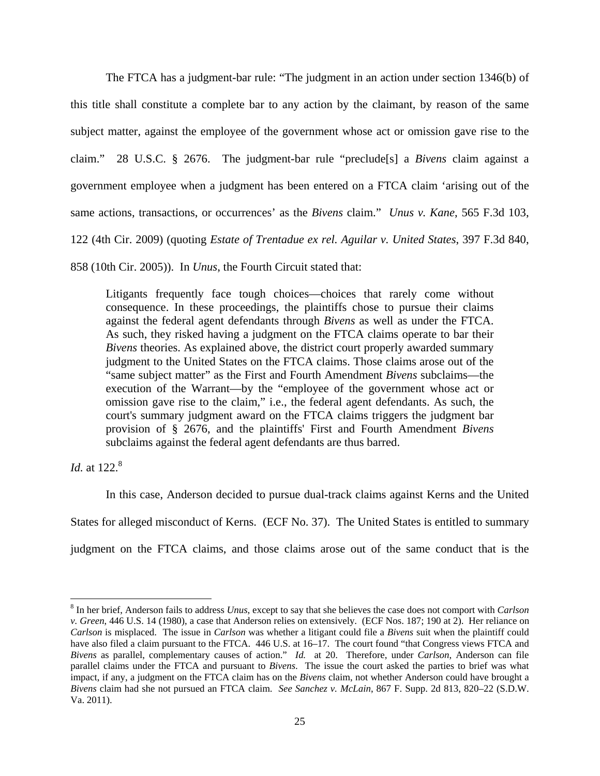The FTCA has a judgment-bar rule: "The judgment in an action under section 1346(b) of this title shall constitute a complete bar to any action by the claimant, by reason of the same subject matter, against the employee of the government whose act or omission gave rise to the claim." 28 U.S.C. § 2676. The judgment-bar rule "preclude[s] a *Bivens* claim against a government employee when a judgment has been entered on a FTCA claim 'arising out of the same actions, transactions, or occurrences' as the *Bivens* claim." *Unus v. Kane*, 565 F.3d 103, 122 (4th Cir. 2009) (quoting *Estate of Trentadue ex rel. Aguilar v. United States*, 397 F.3d 840, 858 (10th Cir. 2005)). In *Unus*, the Fourth Circuit stated that:

Litigants frequently face tough choices—choices that rarely come without consequence. In these proceedings, the plaintiffs chose to pursue their claims against the federal agent defendants through *Bivens* as well as under the FTCA. As such, they risked having a judgment on the FTCA claims operate to bar their *Bivens* theories. As explained above, the district court properly awarded summary judgment to the United States on the FTCA claims. Those claims arose out of the "same subject matter" as the First and Fourth Amendment *Bivens* subclaims—the execution of the Warrant—by the "employee of the government whose act or omission gave rise to the claim," i.e., the federal agent defendants. As such, the court's summary judgment award on the FTCA claims triggers the judgment bar provision of § 2676, and the plaintiffs' First and Fourth Amendment *Bivens* subclaims against the federal agent defendants are thus barred.

*Id.* at 122.<sup>8</sup>

 In this case, Anderson decided to pursue dual-track claims against Kerns and the United States for alleged misconduct of Kerns. (ECF No. 37). The United States is entitled to summary judgment on the FTCA claims, and those claims arose out of the same conduct that is the

<sup>8</sup> In her brief, Anderson fails to address *Unus*, except to say that she believes the case does not comport with *Carlson v. Green*, 446 U.S. 14 (1980), a case that Anderson relies on extensively. (ECF Nos. 187; 190 at 2). Her reliance on *Carlson* is misplaced. The issue in *Carlson* was whether a litigant could file a *Bivens* suit when the plaintiff could have also filed a claim pursuant to the FTCA. 446 U.S. at 16–17. The court found "that Congress views FTCA and *Bivens* as parallel, complementary causes of action." *Id.* at 20. Therefore, under *Carlson*, Anderson can file parallel claims under the FTCA and pursuant to *Bivens*. The issue the court asked the parties to brief was what impact, if any, a judgment on the FTCA claim has on the *Bivens* claim, not whether Anderson could have brought a *Bivens* claim had she not pursued an FTCA claim. *See Sanchez v. McLain*, 867 F. Supp. 2d 813, 820–22 (S.D.W. Va. 2011).